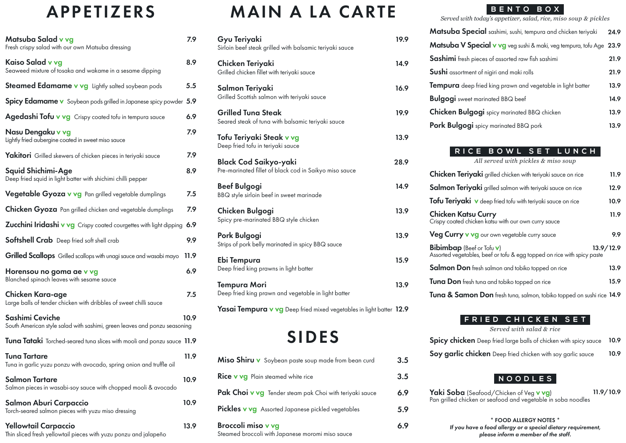### APPETIZERS

| Matsuba Salad v vg<br>Fresh crispy salad with our own Matsuba dressing                       | 7.9  |
|----------------------------------------------------------------------------------------------|------|
| Kaiso Salad v vg<br>Seaweed mixture of tosaka and wakame in a sesame dipping                 | 8.9  |
| <b>Steamed Edamame v vg</b> Lightly salted soybean pods                                      | 5.5  |
| Spicy Edamame v Soybean pods grilled in Japanese spicy powder 5.9                            |      |
| Agedashi Tofu v vg Crispy coated tofu in tempura sauce                                       | 6.9  |
| Nasu Dengaku v vg<br>Lightly fried aubergine coated in sweet miso sauce                      | 7.9  |
| Yakitori Grilled skewers of chicken pieces in teriyaki sauce                                 | 7.9  |
| Squid Shichimi-Age<br>Deep fried squid in light batter with shichimi chilli pepper           | 8.9  |
| Vegetable Gyoza v vg Pan grilled vegetable dumplings                                         | 7.5  |
| Chicken Gyoza Pan grilled chicken and vegetable dumplings                                    | 7.9  |
| Zucchini Iridashi v vg Crispy coated courgettes with light dipping                           | 6.9  |
| Softshell Crab Deep fried soft shell crab                                                    | 9.9  |
| Grilled Scallops Grilled scallops with unagi sauce and wasabi mayo                           | 11.9 |
| Horensou no goma ae v vg<br>Blanched spinach leaves with sesame sauce                        | 6.9  |
| Chicken Kara-age<br>Large balls of tender chicken with dribbles of sweet chilli sauce        | 7.5  |
| Sashimi Ceviche<br>South American style salad with sashimi, green leaves and ponzu seasoning | 10.9 |
| Tuna Tataki Torched-seared tuna slices with mooli and ponzu sauce 11.9                       |      |
| <b>Tuna Tartare</b><br>Tuna in garlic yuzu ponzu with avocado, spring onion and truffle oil  | 11.9 |
| Salmon Tartare<br>Salmon pieces in wasabi-soy sauce with chopped mooli & avocado             | 10.9 |
| Salmon Aburi Carpaccio<br>Torch-seared salmon pieces with yuzu miso dressing                 | 10.9 |
| <b>Yellowtail Carpaccio</b>                                                                  | 13.9 |

Thin sliced fresh yellowtail pieces with yuzu ponzu and jalapeño

## MAIN A LA CARTE

| Gyu Teriyaki<br>Sirloin beef steak grilled with balsamic teriyaki sauce                | 19.9 |
|----------------------------------------------------------------------------------------|------|
| Chicken Teriyaki<br>Grilled chicken fillet with teriyaki sauce                         | 14.9 |
| Salmon Teriyaki<br>Grilled Scottish salmon with teriyaki sauce                         | 16.9 |
| <b>Grilled Tuna Steak</b><br>Seared steak of tuna with balsamic teriyaki sauce         | 19.9 |
| Tofu Teriyaki Steak v vg<br>Deep fried tofu in teriyaki sauce                          | 13.9 |
| <b>Black Cod Saikyo-yaki</b><br>Pre-marinated fillet of black cod in Saikyo miso sauce | 28.9 |
| <b>Beef Bulgogi</b><br>BBQ style sirloin beef in sweet marinade                        | 14.9 |
| Chicken Bulgogi<br>Spicy pre-marinated BBQ style chicken                               | 13.9 |
| Pork Bulgogi<br>Strips of pork belly marinated in spicy BBQ sauce                      | 13.9 |
| Ebi Tempura<br>Deep fried king prawns in light batter                                  | 15.9 |
| <b>Tempura Mori</b><br>Deep fried king prawn and vegetable in light batter             | 13.9 |
| Yasai Tempura v vg Deep fried mixed vegetables in light batter 12.9                    |      |
| <b>SIDES</b>                                                                           |      |

| Miso Shiru v Soybean paste soup made from bean curd                           | 3.5 |
|-------------------------------------------------------------------------------|-----|
| <b>Rice v vg</b> Plain steamed white rice                                     | 3.5 |
| Pak Choi v vg Tender steam pak Choi with teriyaki sauce                       | 6.9 |
| <b>Pickles v vg</b> Assorted Japanese pickled vegetables                      | 5.9 |
| <b>Broccoli miso v vg</b><br>Steamed broccoli with Japanese moromi miso sauce | 6.9 |

### **BENTO BOX**

*Served with today's appetizer, salad, rice, miso soup & pickles*

| Matsuba Special sashimi, sushi, tempura and chicken teriyaki        | 24.9 |
|---------------------------------------------------------------------|------|
| Matsuba V Special v vg veg sushi & maki, veg tempura, tofu Age 23.9 |      |
| Sashimi fresh pieces of assorted raw fish sashimi                   | 21.9 |
| Sushi assortment of nigiri and maki rolls                           | 21.9 |
| Tempura deep fried king prawn and vegetable in light batter         | 13.9 |
| <b>Bulgogi</b> sweet marinated BBQ beef                             | 14.9 |
| Chicken Bulgogi spicy marinated BBQ chicken                         | 13.9 |
| Pork Bulgogi spicy marinated BBQ pork                               | 13.9 |
|                                                                     |      |

#### **RICE BOWL SET LUNCH**

*All served with pickles & miso soup*

| <b>Chicken Teriyaki</b> grilled chicken with teriyaki sauce on rice                                         | 11.9      |
|-------------------------------------------------------------------------------------------------------------|-----------|
| <b>Salmon Teriyaki</b> grilled salmon with teriyaki sauce on rice                                           | 12.9      |
| Tofu Teriyaki v deep fried tofu with teriyaki sauce on rice                                                 | 10.9      |
| <b>Chicken Katsu Curry</b><br>Crispy coated chicken katsu with our own curry sauce                          | 11.9      |
| Veg Curry v vg our own vegetable curry sauce                                                                | 9.9       |
| <b>Bibimbap</b> (Beef or Tofu v)<br>Assorted vegetables, beef or tofu & egg topped on rice with spicy paste | 13.9/12.9 |
| <b>Salmon Don</b> fresh salmon and tobiko topped on rice                                                    | 13.9      |
| <b>Tuna Don</b> fresh tuna and tobiko topped on rice                                                        | 15.9      |
| Tuna & Samon Don fresh tuna, salmon, tobiko topped on sushi rice 14.9                                       |           |

#### **FRIED CHICKEN SET**

*Served with salad & rice*

| <b>Spicy chicken</b> Deep fried large balls of chicken with spicy sauce 10.9 |  |  |  |  |
|------------------------------------------------------------------------------|--|--|--|--|
|------------------------------------------------------------------------------|--|--|--|--|

Soy garlic chicken Deep fried chicken with soy garlic sauce 10.9

### **NOODLES**

Yaki Soba (Seafood/Chicken of Veg v vg) Pan grilled chicken or seafood and vegetable in soba noodles 11.9/10.9

| * FOOD ALLERGY NOTES *                                       |
|--------------------------------------------------------------|
| If you have a food allergy or a special dietary requirement, |
| please inform a member of the staff.                         |